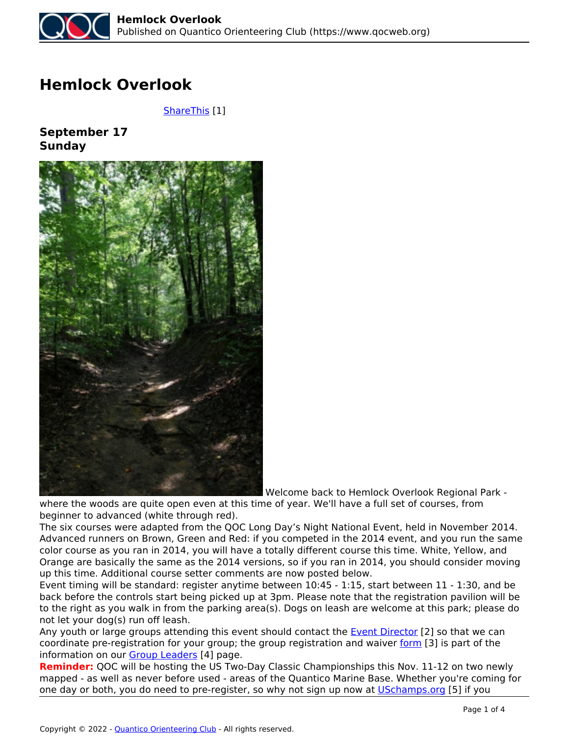

## **Hemlock Overlook**

 *[ShareThis](https://www.qocweb.org/events/2017/9/17/hemlock-overlook) [1]*

**September 17 Sunday**



 *Welcome back to Hemlock Overlook Regional Park -*

*where the woods are quite open even at this time of year. We'll have a full set of courses, from beginner to advanced (white through red).*

*The six courses were adapted from the QOC Long Day's Night National Event, held in November 2014. Advanced runners on Brown, Green and Red: if you competed in the 2014 event, and you run the same color course as you ran in 2014, you will have a totally different course this time. White, Yellow, and Orange are basically the same as the 2014 versions, so if you ran in 2014, you should consider moving up this time. Additional course setter comments are now posted below.*

*Event timing will be standard: register anytime between 10:45 - 1:15, start between 11 - 1:30, and be back before the controls start being picked up at 3pm. Please note that the registration pavilion will be to the right as you walk in from the parking area(s). Dogs on leash are welcome at this park; please do not let your dog(s) run off leash.*

*Any youth or large groups attending this event should contact the Event Director [2] so that we can coordinate pre-registration for your group; the group registration and waiver form [3] is part of the information on our Group Leaders [4] page.*

**Reminder:** *QOC will be hosting the US Two-Day Classic Championships this Nov. 11-12 on two newly mapped - as well as never before used - areas of the Quantico Marine Base. Whether you're coming for one day or both, you do need to pre-register, so why not sign up now at USchamps.org [5] if you*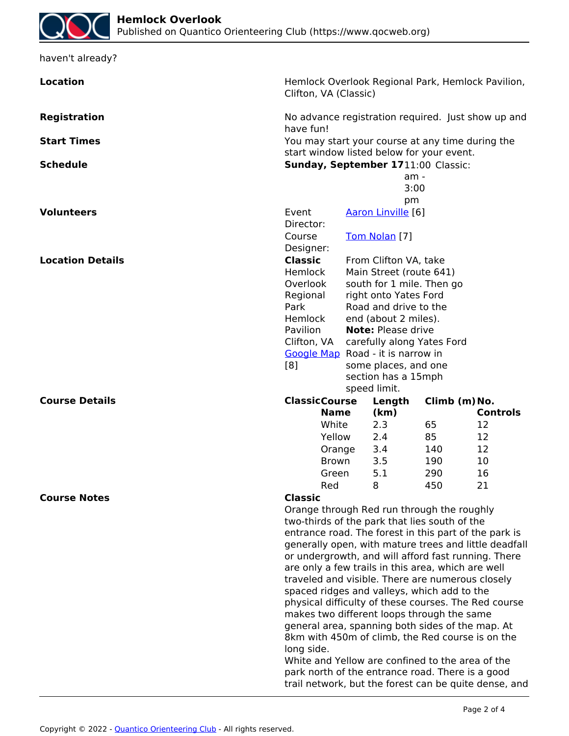| haven't already?                                                                                                                                      |                                                                                                                                                                                                                          |                                                                                              |                                                    |          |                 |  |  |
|-------------------------------------------------------------------------------------------------------------------------------------------------------|--------------------------------------------------------------------------------------------------------------------------------------------------------------------------------------------------------------------------|----------------------------------------------------------------------------------------------|----------------------------------------------------|----------|-----------------|--|--|
| <b>Location</b>                                                                                                                                       | Hemlock Overlook Regional Park, Hemlock Pavilion,<br>Clifton, VA (Classic)                                                                                                                                               |                                                                                              |                                                    |          |                 |  |  |
| <b>Registration</b>                                                                                                                                   | No advance registration required. Just show up and<br>have fun!                                                                                                                                                          |                                                                                              |                                                    |          |                 |  |  |
| <b>Start Times</b>                                                                                                                                    | You may start your course at any time during the<br>start window listed below for your event.                                                                                                                            |                                                                                              |                                                    |          |                 |  |  |
| <b>Schedule</b>                                                                                                                                       | Sunday, September 1711:00 Classic:                                                                                                                                                                                       |                                                                                              |                                                    |          |                 |  |  |
|                                                                                                                                                       |                                                                                                                                                                                                                          | am -                                                                                         |                                                    |          |                 |  |  |
|                                                                                                                                                       |                                                                                                                                                                                                                          |                                                                                              | 3:00                                               |          |                 |  |  |
| <b>Volunteers</b>                                                                                                                                     | Event                                                                                                                                                                                                                    |                                                                                              | pm                                                 |          |                 |  |  |
|                                                                                                                                                       | Director:                                                                                                                                                                                                                |                                                                                              | Aaron Linville [6]                                 |          |                 |  |  |
|                                                                                                                                                       | Course                                                                                                                                                                                                                   |                                                                                              | Tom Nolan [7]                                      |          |                 |  |  |
|                                                                                                                                                       | Designer:                                                                                                                                                                                                                |                                                                                              |                                                    |          |                 |  |  |
| <b>Location Details</b>                                                                                                                               | <b>Classic</b>                                                                                                                                                                                                           | From Clifton VA, take                                                                        |                                                    |          |                 |  |  |
|                                                                                                                                                       | Hemlock<br>Overlook<br>Regional<br>Park<br>Hemlock                                                                                                                                                                       |                                                                                              | Main Street (route 641)                            |          |                 |  |  |
|                                                                                                                                                       |                                                                                                                                                                                                                          |                                                                                              | south for 1 mile. Then go<br>right onto Yates Ford |          |                 |  |  |
|                                                                                                                                                       |                                                                                                                                                                                                                          |                                                                                              | Road and drive to the                              |          |                 |  |  |
|                                                                                                                                                       |                                                                                                                                                                                                                          |                                                                                              | end (about 2 miles).                               |          |                 |  |  |
|                                                                                                                                                       | Pavilion                                                                                                                                                                                                                 | <b>Note: Please drive</b><br>carefully along Yates Ford<br>Google Map Road - it is narrow in |                                                    |          |                 |  |  |
|                                                                                                                                                       | Clifton, VA                                                                                                                                                                                                              |                                                                                              |                                                    |          |                 |  |  |
|                                                                                                                                                       | [8]<br>some places, and one                                                                                                                                                                                              |                                                                                              |                                                    |          |                 |  |  |
|                                                                                                                                                       |                                                                                                                                                                                                                          | section has a 15mph                                                                          |                                                    |          |                 |  |  |
|                                                                                                                                                       |                                                                                                                                                                                                                          |                                                                                              | speed limit.                                       |          |                 |  |  |
| <b>Course Details</b>                                                                                                                                 | <b>ClassicCourse</b>                                                                                                                                                                                                     | Climb (m) No.<br>Length                                                                      |                                                    |          |                 |  |  |
|                                                                                                                                                       | <b>Name</b>                                                                                                                                                                                                              |                                                                                              | (km)                                               |          | <b>Controls</b> |  |  |
|                                                                                                                                                       | White<br>Yellow                                                                                                                                                                                                          |                                                                                              | 2.3<br>2.4                                         | 65<br>85 | 12<br>12        |  |  |
|                                                                                                                                                       | Orange                                                                                                                                                                                                                   |                                                                                              | 3.4                                                | 140      | 12              |  |  |
|                                                                                                                                                       | Brown                                                                                                                                                                                                                    |                                                                                              | 3.5                                                | 190      | 10              |  |  |
|                                                                                                                                                       | Green                                                                                                                                                                                                                    |                                                                                              | 5.1                                                | 290      | 16              |  |  |
|                                                                                                                                                       | Red                                                                                                                                                                                                                      |                                                                                              | 8                                                  | 450      | 21              |  |  |
| <b>Course Notes</b>                                                                                                                                   | <b>Classic</b>                                                                                                                                                                                                           |                                                                                              |                                                    |          |                 |  |  |
|                                                                                                                                                       | Orange through Red run through the roughly<br>two-thirds of the park that lies south of the                                                                                                                              |                                                                                              |                                                    |          |                 |  |  |
|                                                                                                                                                       | entrance road. The forest in this part of the park is                                                                                                                                                                    |                                                                                              |                                                    |          |                 |  |  |
|                                                                                                                                                       | generally open, with mature trees and little deadfall                                                                                                                                                                    |                                                                                              |                                                    |          |                 |  |  |
|                                                                                                                                                       | or undergrowth, and will afford fast running. There                                                                                                                                                                      |                                                                                              |                                                    |          |                 |  |  |
| are only a few trails in this area, which are well<br>traveled and visible. There are numerous closely<br>spaced ridges and valleys, which add to the |                                                                                                                                                                                                                          |                                                                                              |                                                    |          |                 |  |  |
|                                                                                                                                                       |                                                                                                                                                                                                                          |                                                                                              |                                                    |          |                 |  |  |
|                                                                                                                                                       | physical difficulty of these courses. The Red course<br>makes two different loops through the same<br>general area, spanning both sides of the map. At<br>8km with 450m of climb, the Red course is on the<br>long side. |                                                                                              |                                                    |          |                 |  |  |
|                                                                                                                                                       |                                                                                                                                                                                                                          |                                                                                              |                                                    |          |                 |  |  |
|                                                                                                                                                       |                                                                                                                                                                                                                          |                                                                                              |                                                    |          |                 |  |  |
|                                                                                                                                                       |                                                                                                                                                                                                                          |                                                                                              |                                                    |          |                 |  |  |
| White and Yellow are confined to the area of the                                                                                                      |                                                                                                                                                                                                                          |                                                                                              |                                                    |          |                 |  |  |
|                                                                                                                                                       | park north of the entrance road. There is a good                                                                                                                                                                         |                                                                                              |                                                    |          |                 |  |  |
|                                                                                                                                                       |                                                                                                                                                                                                                          | trail network, but the forest can be quite dense, and                                        |                                                    |          |                 |  |  |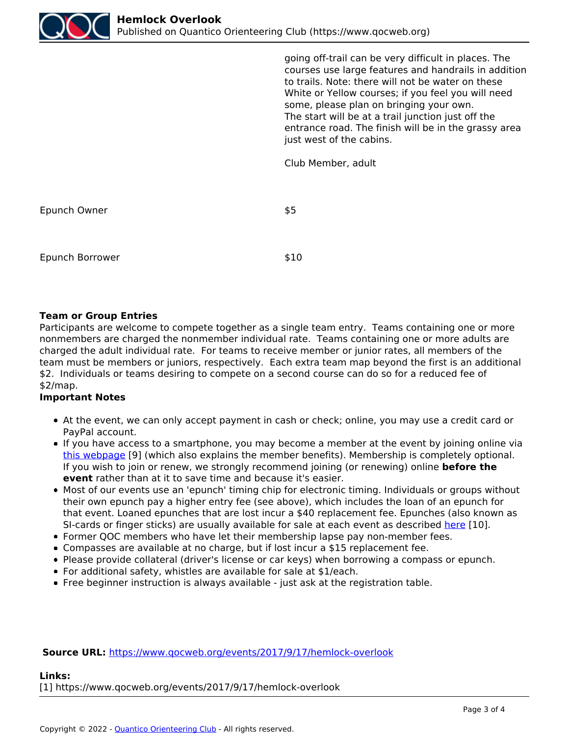

*going off-trail can be very difficult in places. The courses use large features and handrails in addition to trails. Note: there will not be water on these White or Yellow courses; if you feel you will need some, please plan on bringing your own. The start will be at a trail junction just off the entrance road. The finish will be in the grassy area just west of the cabins.*

*Club Member, adult*

*Epunch Owner \$5*

*Epunch Borrower \$10*

## **Team or Group Entries**

*Participants are welcome to compete together as a single team entry. Teams containing one or more nonmembers are charged the nonmember individual rate. Teams containing one or more adults are charged the adult individual rate. For teams to receive member or junior rates, all members of the team must be members or juniors, respectively. Each extra team map beyond the first is an additional \$2. Individuals or teams desiring to compete on a second course can do so for a reduced fee of \$2/map.*

## **Important Notes**

- *At the event, we can only accept payment in cash or check; online, you may use a credit card or PayPal account.*
- *If you have access to a smartphone, you may become a member at the event by joining online via this webpage [9] (which also explains the member benefits). Membership is completely optional.* If you wish to join or renew, we strongly recommend joining (or renewing) online **before the event** *rather than at it to save time and because it's easier.*
- *Most of our events use an 'epunch' timing chip for electronic timing. Individuals or groups without their own epunch pay a higher entry fee (see above), which includes the loan of an epunch for that event. Loaned epunches that are lost incur a \$40 replacement fee. Epunches (also known as SI-cards or finger sticks) are usually available for sale at each event as described here [10].*
- *Former QOC members who have let their membership lapse pay non-member fees.*
- *Compasses are available at no charge, but if lost incur a \$15 replacement fee.*
- *Please provide collateral (driver's license or car keys) when borrowing a compass or epunch.*
- *For additional safety, whistles are available for sale at \$1/each.*
- *Free beginner instruction is always available just ask at the registration table.*

**Source URL:** *https://www.qocweb.org/events/2017/9/17/hemlock-overlook*

## **Links:**

*[1] https://www.qocweb.org/events/2017/9/17/hemlock-overlook*